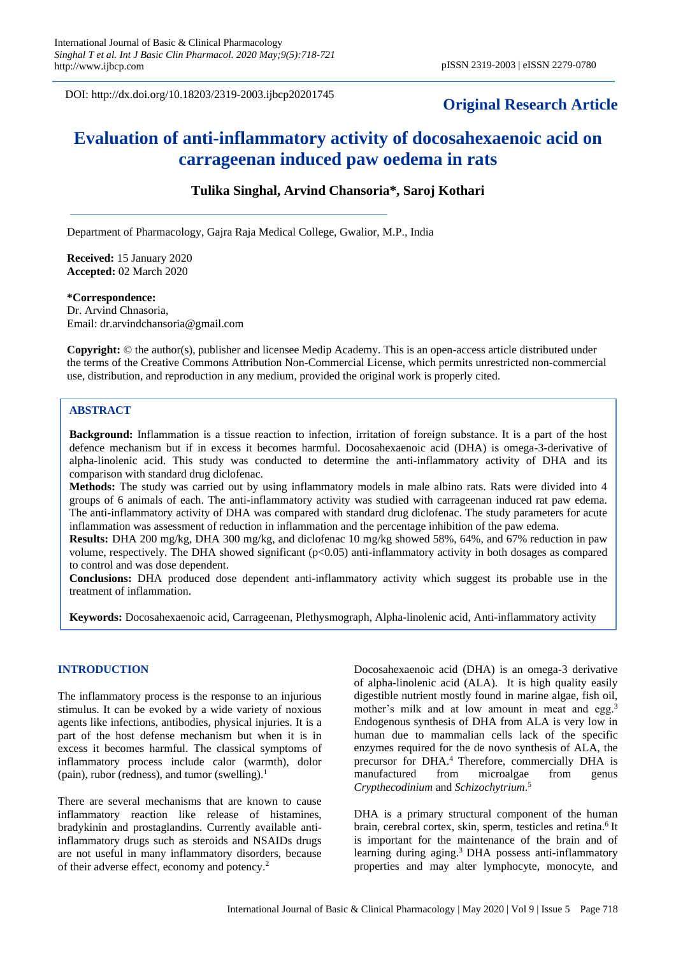DOI: http://dx.doi.org/10.18203/2319-2003.ijbcp20201745

# **Original Research Article**

# **Evaluation of anti-inflammatory activity of docosahexaenoic acid on carrageenan induced paw oedema in rats**

# **Tulika Singhal, Arvind Chansoria\*, Saroj Kothari**

Department of Pharmacology, Gajra Raja Medical College, Gwalior, M.P., India

**Received:** 15 January 2020 **Accepted:** 02 March 2020

#### **\*Correspondence:**

Dr. Arvind Chnasoria, Email: dr.arvindchansoria@gmail.com

**Copyright:** © the author(s), publisher and licensee Medip Academy. This is an open-access article distributed under the terms of the Creative Commons Attribution Non-Commercial License, which permits unrestricted non-commercial use, distribution, and reproduction in any medium, provided the original work is properly cited.

#### **ABSTRACT**

**Background:** Inflammation is a tissue reaction to infection, irritation of foreign substance. It is a part of the host defence mechanism but if in excess it becomes harmful. Docosahexaenoic acid (DHA) is omega-3-derivative of alpha-linolenic acid. This study was conducted to determine the anti-inflammatory activity of DHA and its comparison with standard drug diclofenac.

**Methods:** The study was carried out by using inflammatory models in male albino rats. Rats were divided into 4 groups of 6 animals of each. The anti-inflammatory activity was studied with carrageenan induced rat paw edema. The anti-inflammatory activity of DHA was compared with standard drug diclofenac. The study parameters for acute inflammation was assessment of reduction in inflammation and the percentage inhibition of the paw edema.

**Results:** DHA 200 mg/kg, DHA 300 mg/kg, and diclofenac 10 mg/kg showed 58%, 64%, and 67% reduction in paw volume, respectively. The DHA showed significant (p<0.05) anti-inflammatory activity in both dosages as compared to control and was dose dependent.

**Conclusions:** DHA produced dose dependent anti-inflammatory activity which suggest its probable use in the treatment of inflammation.

**Keywords:** Docosahexaenoic acid, Carrageenan, Plethysmograph, Alpha-linolenic acid, Anti-inflammatory activity

#### **INTRODUCTION**

The inflammatory process is the response to an injurious stimulus. It can be evoked by a wide variety of noxious agents like infections, antibodies, physical injuries. It is a part of the host defense mechanism but when it is in excess it becomes harmful. The classical symptoms of inflammatory process include calor (warmth), dolor (pain), rubor (redness), and tumor (swelling).<sup>1</sup>

There are several mechanisms that are known to cause inflammatory reaction like release of histamines, bradykinin and prostaglandins. Currently available antiinflammatory drugs such as steroids and NSAIDs drugs are not useful in many inflammatory disorders, because of their adverse effect, economy and potency.<sup>2</sup>

Docosahexaenoic acid (DHA) is an omega-3 derivative of alpha-linolenic acid (ALA). It is high quality easily digestible nutrient mostly found in marine algae, fish oil, mother's milk and at low amount in meat and egg.<sup>3</sup> Endogenous synthesis of DHA from ALA is very low in human due to mammalian cells lack of the specific enzymes required for the de novo synthesis of ALA, the precursor for DHA.<sup>4</sup> Therefore, commercially DHA is manufactured from microalgae from genus *Crypthecodinium* and *Schizochytrium*. 5

DHA is a primary structural component of the human brain, cerebral cortex, skin, sperm, testicles and retina.<sup>6</sup>It is important for the maintenance of the brain and of learning during aging.<sup>3</sup> DHA possess anti-inflammatory properties and may alter lymphocyte, monocyte, and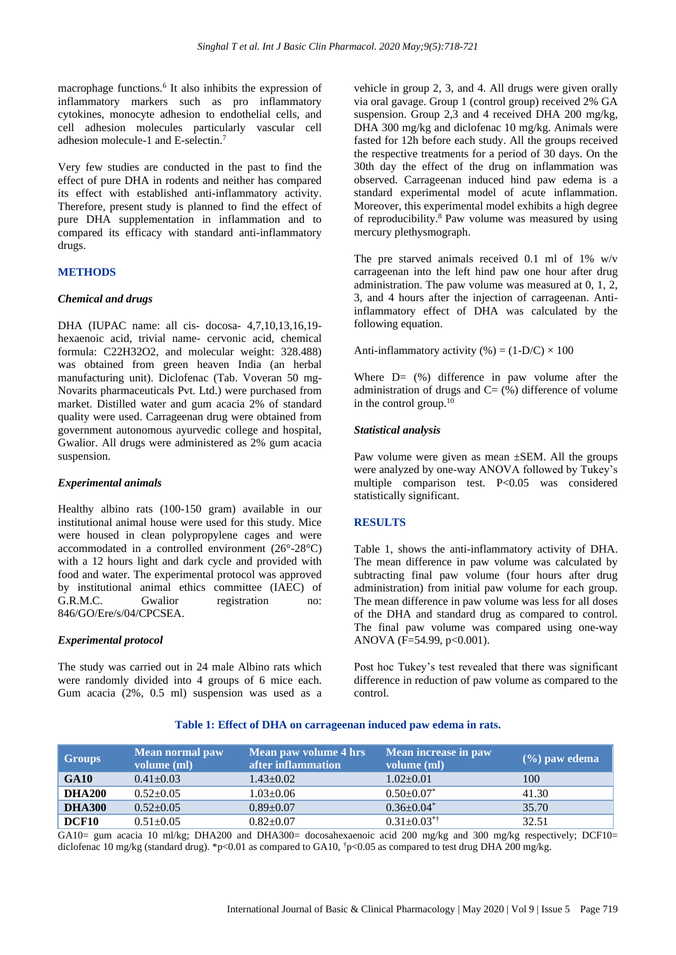macrophage functions.<sup>6</sup> It also inhibits the expression of inflammatory markers such as pro inflammatory cytokines, monocyte adhesion to endothelial cells, and cell adhesion molecules particularly vascular cell adhesion molecule-1 and E-selectin.<sup>7</sup>

Very few studies are conducted in the past to find the effect of pure DHA in rodents and neither has compared its effect with established anti-inflammatory activity. Therefore, present study is planned to find the effect of pure DHA supplementation in inflammation and to compared its efficacy with standard anti-inflammatory drugs.

# **METHODS**

#### *Chemical and drugs*

DHA (IUPAC name: all cis- docosa- 4,7,10,13,16,19 hexaenoic acid, trivial name- cervonic acid, chemical formula: C22H32O2, and molecular weight: 328.488) was obtained from green heaven India (an herbal manufacturing unit). Diclofenac (Tab. Voveran 50 mg-Novarits pharmaceuticals Pvt. Ltd.) were purchased from market. Distilled water and gum acacia 2% of standard quality were used. Carrageenan drug were obtained from government autonomous ayurvedic college and hospital, Gwalior. All drugs were administered as 2% gum acacia suspension.

#### *Experimental animals*

Healthy albino rats (100-150 gram) available in our institutional animal house were used for this study. Mice were housed in clean polypropylene cages and were accommodated in a controlled environment (26°-28°C) with a 12 hours light and dark cycle and provided with food and water. The experimental protocol was approved by institutional animal ethics committee (IAEC) of G.R.M.C. Gwalior registration no: 846/GO/Ere/s/04/CPCSEA.

#### *Experimental protocol*

The study was carried out in 24 male Albino rats which were randomly divided into 4 groups of 6 mice each. Gum acacia (2%, 0.5 ml) suspension was used as a vehicle in group 2, 3, and 4. All drugs were given orally via oral gavage. Group 1 (control group) received 2% GA suspension. Group 2,3 and 4 received DHA 200 mg/kg, DHA 300 mg/kg and diclofenac 10 mg/kg. Animals were fasted for 12h before each study. All the groups received the respective treatments for a period of 30 days. On the 30th day the effect of the drug on inflammation was observed. Carrageenan induced hind paw edema is a standard experimental model of acute inflammation. Moreover, this experimental model exhibits a high degree of reproducibility.<sup>8</sup> Paw volume was measured by using mercury plethysmograph.

The pre starved animals received 0.1 ml of 1% w/v carrageenan into the left hind paw one hour after drug administration. The paw volume was measured at 0, 1, 2, 3, and 4 hours after the injection of carrageenan. Antiinflammatory effect of DHA was calculated by the following equation.

Anti-inflammatory activity  $% = (1-D/C) \times 100$ 

Where  $D = (\%)$  difference in paw volume after the administration of drugs and  $C = (\% )$  difference of volume in the control group.<sup>10</sup>

# *Statistical analysis*

Paw volume were given as mean ±SEM. All the groups were analyzed by one-way ANOVA followed by Tukey's multiple comparison test. P<0.05 was considered statistically significant.

# **RESULTS**

Table 1, shows the anti-inflammatory activity of DHA. The mean difference in paw volume was calculated by subtracting final paw volume (four hours after drug administration) from initial paw volume for each group. The mean difference in paw volume was less for all doses of the DHA and standard drug as compared to control. The final paw volume was compared using one-way ANOVA  $(F=54.99, p<0.001)$ .

Post hoc Tukey's test revealed that there was significant difference in reduction of paw volume as compared to the control.

# **Table 1: Effect of DHA on carrageenan induced paw edema in rats.**

| Groups        | <b>Mean normal paw</b><br>volume (ml) | Mean paw volume 4 hrs<br>after inflammation | Mean increase in paw<br>volume (ml) | $(\%)$ paw edema |
|---------------|---------------------------------------|---------------------------------------------|-------------------------------------|------------------|
| <b>GA10</b>   | $0.41 \pm 0.03$                       | $1.43 \pm 0.02$                             | $1.02 \pm 0.01$                     | 100              |
| <b>DHA200</b> | $0.52 \pm 0.05$                       | $1.03 \pm 0.06$                             | $0.50 \pm 0.07^*$                   | 41.30            |
| <b>DHA300</b> | $0.52 \pm 0.05$                       | $0.89 \pm 0.07$                             | $0.36 \pm 0.04^*$                   | 35.70            |
| DCF10         | $0.51 \pm 0.05$                       | $0.82 \pm 0.07$                             | $0.31 \pm 0.03$ <sup>*†</sup>       | 32.51            |

GA10= gum acacia 10 ml/kg; DHA200 and DHA300= docosahexaenoic acid 200 mg/kg and 300 mg/kg respectively; DCF10= diclofenac 10 mg/kg (standard drug). \*p<0.01 as compared to GA10,  $\frac{1}{2}$  p<0.05 as compared to test drug DHA 200 mg/kg.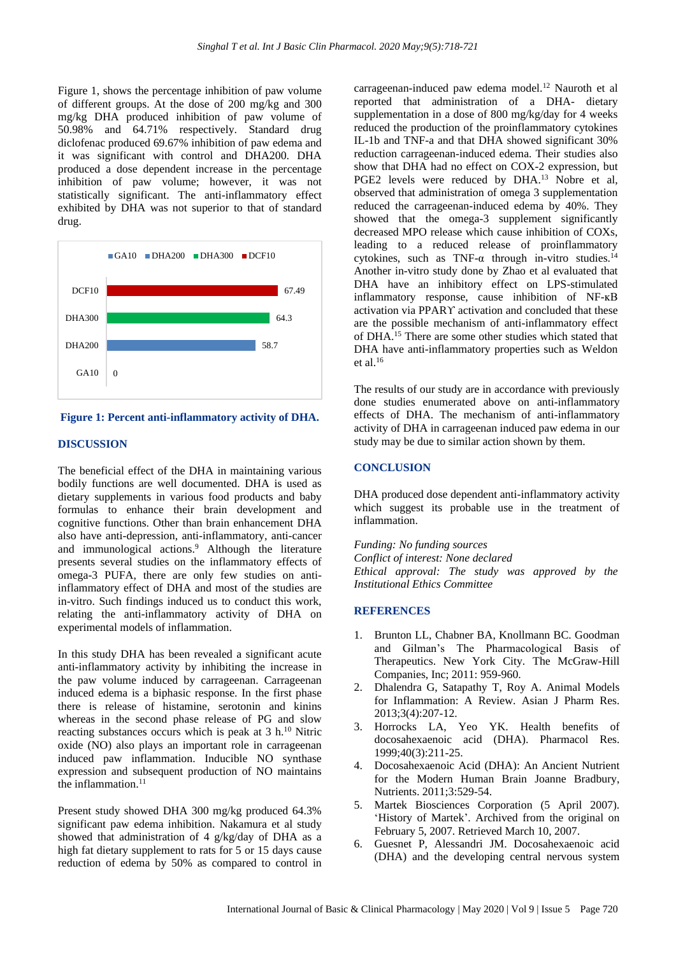Figure 1, shows the percentage inhibition of paw volume of different groups. At the dose of 200 mg/kg and 300 mg/kg DHA produced inhibition of paw volume of 50.98% and 64.71% respectively. Standard drug diclofenac produced 69.67% inhibition of paw edema and it was significant with control and DHA200. DHA produced a dose dependent increase in the percentage inhibition of paw volume; however, it was not statistically significant. The anti-inflammatory effect exhibited by DHA was not superior to that of standard drug.



**Figure 1: Percent anti-inflammatory activity of DHA.**

# **DISCUSSION**

The beneficial effect of the DHA in maintaining various bodily functions are well documented. DHA is used as dietary supplements in various food products and baby formulas to enhance their brain development and cognitive functions. Other than brain enhancement DHA also have anti-depression, anti-inflammatory, anti-cancer and immunological actions.<sup>9</sup> Although the literature presents several studies on the inflammatory effects of omega-3 PUFA, there are only few studies on antiinflammatory effect of DHA and most of the studies are in-vitro. Such findings induced us to conduct this work, relating the anti-inflammatory activity of DHA on experimental models of inflammation.

In this study DHA has been revealed a significant acute anti-inflammatory activity by inhibiting the increase in the paw volume induced by carrageenan. Carrageenan induced edema is a biphasic response. In the first phase there is release of histamine, serotonin and kinins whereas in the second phase release of PG and slow reacting substances occurs which is peak at  $3 h<sup>10</sup>$  Nitric oxide (NO) also plays an important role in carrageenan induced paw inflammation. Inducible NO synthase expression and subsequent production of NO maintains the inflammation. $11$ 

Present study showed DHA 300 mg/kg produced 64.3% significant paw edema inhibition. Nakamura et al study showed that administration of 4 g/kg/day of DHA as a high fat dietary supplement to rats for 5 or 15 days cause reduction of edema by 50% as compared to control in carrageenan-induced paw edema model.<sup>12</sup> Nauroth et al reported that administration of a DHA- dietary supplementation in a dose of 800 mg/kg/day for 4 weeks reduced the production of the proinflammatory cytokines IL-1b and TNF-a and that DHA showed significant 30% reduction carrageenan-induced edema. Their studies also show that DHA had no effect on COX-2 expression, but PGE2 levels were reduced by DHA.<sup>13</sup> Nobre et al, observed that administration of omega 3 supplementation reduced the carrageenan-induced edema by 40%. They showed that the omega-3 supplement significantly decreased MPO release which cause inhibition of COXs, leading to a reduced release of proinflammatory cytokines, such as TNF- $\alpha$  through in-vitro studies.<sup>14</sup> Another in-vitro study done by Zhao et al evaluated that DHA have an inhibitory effect on LPS-stimulated inflammatory response, cause inhibition of NF-ĸB activation via PPARϒ activation and concluded that these are the possible mechanism of anti-inflammatory effect of DHA.<sup>15</sup> There are some other studies which stated that DHA have anti-inflammatory properties such as Weldon et al.<sup>16</sup>

The results of our study are in accordance with previously done studies enumerated above on anti-inflammatory effects of DHA. The mechanism of anti-inflammatory activity of DHA in carrageenan induced paw edema in our study may be due to similar action shown by them.

# **CONCLUSION**

DHA produced dose dependent anti-inflammatory activity which suggest its probable use in the treatment of inflammation.

*Funding: No funding sources Conflict of interest: None declared Ethical approval: The study was approved by the Institutional Ethics Committee*

#### **REFERENCES**

- 1. Brunton LL, Chabner BA, Knollmann BC. Goodman and Gilman's The Pharmacological Basis of Therapeutics. New York City. The McGraw-Hill Companies, Inc; 2011: 959-960.
- 2. Dhalendra G, Satapathy T, Roy A. Animal Models for Inflammation: A Review. Asian J Pharm Res. 2013;3(4):207-12.
- 3. Horrocks LA, Yeo YK. Health benefits of docosahexaenoic acid (DHA). Pharmacol Res. 1999;40(3):211-25.
- 4. Docosahexaenoic Acid (DHA): An Ancient Nutrient for the Modern Human Brain Joanne Bradbury, Nutrients. 2011;3:529-54.
- 5. Martek Biosciences Corporation (5 April 2007). 'History of Martek'. Archived from the original on February 5, 2007. Retrieved March 10, 2007.
- 6. Guesnet P, Alessandri JM. Docosahexaenoic acid (DHA) and the developing central nervous system